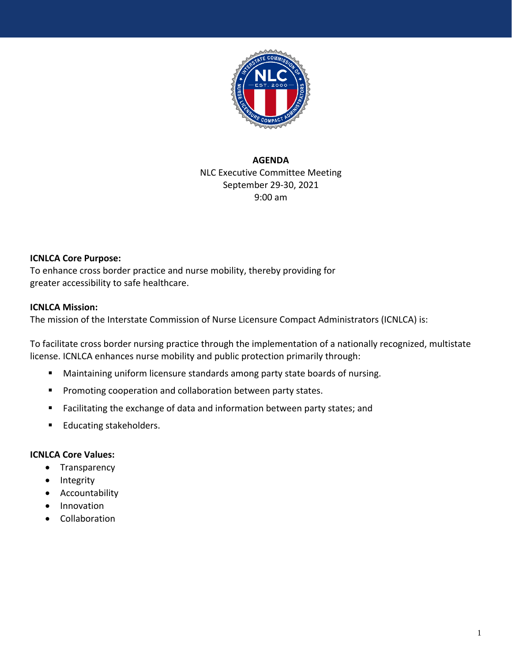

**AGENDA** NLC Executive Committee Meeting September 29-30, 2021 9:00 am

## **ICNLCA Core Purpose:**

To enhance cross border practice and nurse mobility, thereby providing for greater accessibility to safe healthcare.

## **ICNLCA Mission:**

The mission of the Interstate Commission of Nurse Licensure Compact Administrators (ICNLCA) is:

To facilitate cross border nursing practice through the implementation of a nationally recognized, multistate license. ICNLCA enhances nurse mobility and public protection primarily through:

- Maintaining uniform licensure standards among party state boards of nursing.
- Promoting cooperation and collaboration between party states.
- Facilitating the exchange of data and information between party states; and
- Educating stakeholders.

## **ICNLCA Core Values:**

- Transparency
- Integrity
- Accountability
- Innovation
- Collaboration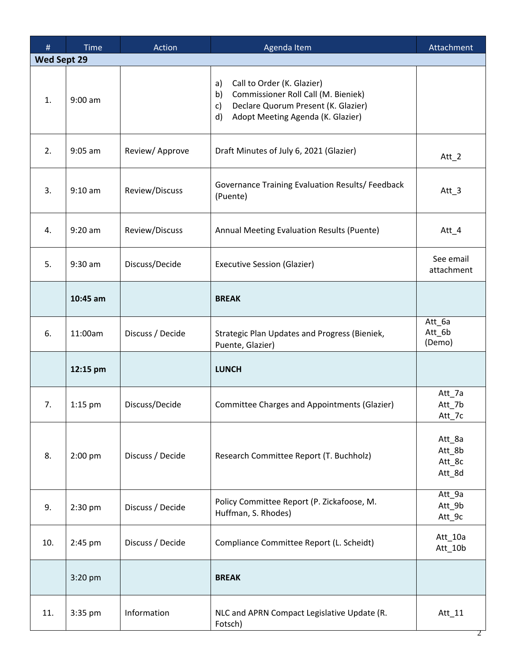| #   | <b>Time</b> | Action           | Agenda Item                                                                                                                                                                     | Attachment                           |  |  |  |  |
|-----|-------------|------------------|---------------------------------------------------------------------------------------------------------------------------------------------------------------------------------|--------------------------------------|--|--|--|--|
|     | Wed Sept 29 |                  |                                                                                                                                                                                 |                                      |  |  |  |  |
| 1.  | $9:00$ am   |                  | Call to Order (K. Glazier)<br>a)<br>Commissioner Roll Call (M. Bieniek)<br>b)<br>Declare Quorum Present (K. Glazier)<br>$\mathsf{c}$<br>Adopt Meeting Agenda (K. Glazier)<br>d) |                                      |  |  |  |  |
| 2.  | $9:05$ am   | Review/Approve   | Draft Minutes of July 6, 2021 (Glazier)                                                                                                                                         | Att $_2$                             |  |  |  |  |
| 3.  | $9:10$ am   | Review/Discuss   | Governance Training Evaluation Results/ Feedback<br>(Puente)                                                                                                                    | Att $_3$                             |  |  |  |  |
| 4.  | $9:20$ am   | Review/Discuss   | Annual Meeting Evaluation Results (Puente)                                                                                                                                      | $Att_4$                              |  |  |  |  |
| 5.  | $9:30$ am   | Discuss/Decide   | <b>Executive Session (Glazier)</b>                                                                                                                                              | See email<br>attachment              |  |  |  |  |
|     | 10:45 am    |                  | <b>BREAK</b>                                                                                                                                                                    |                                      |  |  |  |  |
| 6.  | 11:00am     | Discuss / Decide | Strategic Plan Updates and Progress (Bieniek,<br>Puente, Glazier)                                                                                                               | Att_6a<br>Att_6b<br>(Demo)           |  |  |  |  |
|     | 12:15 pm    |                  | <b>LUNCH</b>                                                                                                                                                                    |                                      |  |  |  |  |
| 7.  | $1:15$ pm   | Discuss/Decide   | Committee Charges and Appointments (Glazier)                                                                                                                                    | Att_7a<br>Att_7b<br>Att_7c           |  |  |  |  |
| 8.  | 2:00 pm     | Discuss / Decide | Research Committee Report (T. Buchholz)                                                                                                                                         | Att_8a<br>Att_8b<br>Att_8c<br>Att_8d |  |  |  |  |
| 9.  | 2:30 pm     | Discuss / Decide | Policy Committee Report (P. Zickafoose, M.<br>Huffman, S. Rhodes)                                                                                                               | Att_9a<br>Att_9b<br>Att_9c           |  |  |  |  |
| 10. | 2:45 pm     | Discuss / Decide | Compliance Committee Report (L. Scheidt)                                                                                                                                        | Att_10a<br>Att_10b                   |  |  |  |  |
|     | 3:20 pm     |                  | <b>BREAK</b>                                                                                                                                                                    |                                      |  |  |  |  |
| 11. | 3:35 pm     | Information      | NLC and APRN Compact Legislative Update (R.<br>Fotsch)                                                                                                                          | Att_11                               |  |  |  |  |